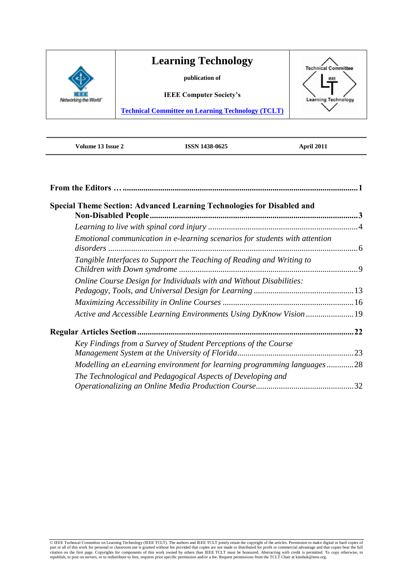

**Volume 13 Issue 2 ISSN 1438-0625 April 2011**

| Special Theme Section: Advanced Learning Technologies for Disabled and      |     |
|-----------------------------------------------------------------------------|-----|
|                                                                             |     |
|                                                                             |     |
| Emotional communication in e-learning scenarios for students with attention |     |
| Tangible Interfaces to Support the Teaching of Reading and Writing to       |     |
| Online Course Design for Individuals with and Without Disabilities:         |     |
|                                                                             |     |
| Active and Accessible Learning Environments Using DyKnow Vision 19          |     |
|                                                                             | .22 |
| Key Findings from a Survey of Student Perceptions of the Course             |     |
| Modelling an eLearning environment for learning programming languages28     |     |
| The Technological and Pedagogical Aspects of Developing and                 |     |
|                                                                             |     |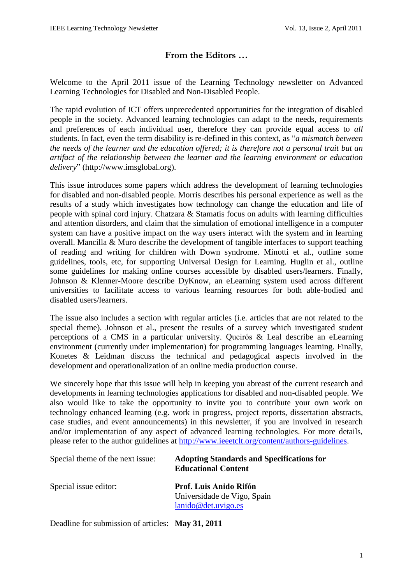# **From the Editors …**

<span id="page-1-0"></span>Welcome to the April 2011 issue of the Learning Technology newsletter on Advanced Learning Technologies for Disabled and Non-Disabled People.

The rapid evolution of ICT offers unprecedented opportunities for the integration of disabled people in the society. Advanced learning technologies can adapt to the needs, requirements and preferences of each individual user, therefore they can provide equal access to *all* students. In fact, even the term disability is re-defined in this context, as "*a mismatch between the needs of the learner and the education offered; it is therefore not a personal trait but an artifact of the relationship between the learner and the learning environment or education delivery*" (http://www.imsglobal.org).

This issue introduces some papers which address the development of learning technologies for disabled and non-disabled people. Morris describes his personal experience as well as the results of a study which investigates how technology can change the education and life of people with spinal cord injury. Chatzara & Stamatis focus on adults with learning difficulties and attention disorders, and claim that the simulation of emotional intelligence in a computer system can have a positive impact on the way users interact with the system and in learning overall. Mancilla & Muro describe the development of tangible interfaces to support teaching of reading and writing for children with Down syndrome. Minotti et al., outline some guidelines, tools, etc, for supporting Universal Design for Learning. Huglin et al., outline some guidelines for making online courses accessible by disabled users/learners. Finally, Johnson & Klenner-Moore describe DyKnow, an eLearning system used across different universities to facilitate access to various learning resources for both able-bodied and disabled users/learners.

The issue also includes a section with regular articles (i.e. articles that are not related to the special theme). Johnson et al., present the results of a survey which investigated student perceptions of a CMS in a particular university. Queirós & Leal describe an eLearning environment (currently under implementation) for programming languages learning. Finally, Konetes & Leidman discuss the technical and pedagogical aspects involved in the development and operationalization of an online media production course.

We sincerely hope that this issue will help in keeping you abreast of the current research and developments in learning technologies applications for disabled and non-disabled people. We also would like to take the opportunity to invite you to contribute your own work on technology enhanced learning (e.g. work in progress, project reports, dissertation abstracts, case studies, and event announcements) in this newsletter, if you are involved in research and/or implementation of any aspect of advanced learning technologies. For more details, please refer to the author guidelines at [http://www.ieeetclt.org/content/authors-guidelines.](http://www.ieeetclt.org/content/authors-guidelines)

| Special theme of the next issue: | <b>Adopting Standards and Specifications for</b><br><b>Educational Content</b> |
|----------------------------------|--------------------------------------------------------------------------------|
| Special issue editor:            | Prof. Luis Anido Rifón<br>Universidade de Vigo, Spain<br>lanido@det.uvigo.es   |

Deadline for submission of articles: **May 31, 2011**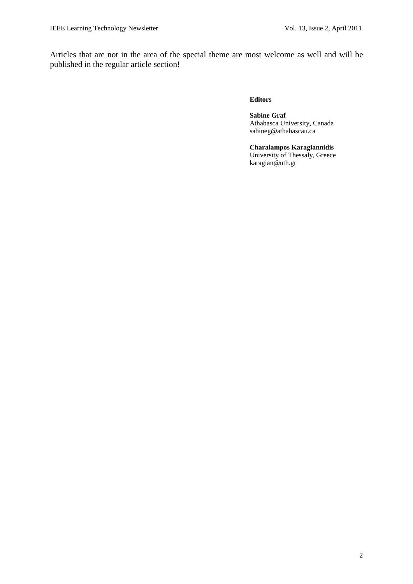Articles that are not in the area of the special theme are most welcome as well and will be published in the regular article section!

#### **Editors**

**Sabine Graf**  Athabasca University, Canada sabineg@athabascau.ca

#### **Charalampos Karagiannidis** University of Thessaly, Greece karagian@uth.gr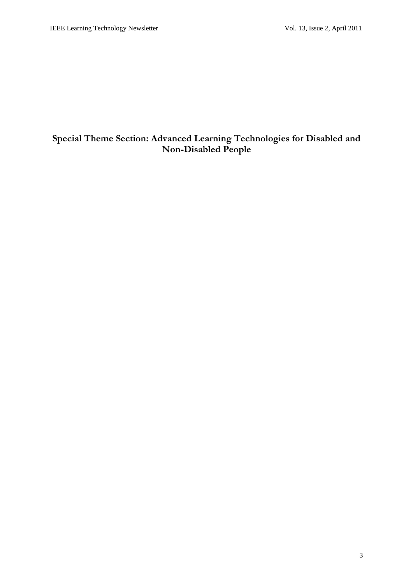# <span id="page-3-0"></span>**Special Theme Section: Advanced Learning Technologies for Disabled and Non-Disabled People**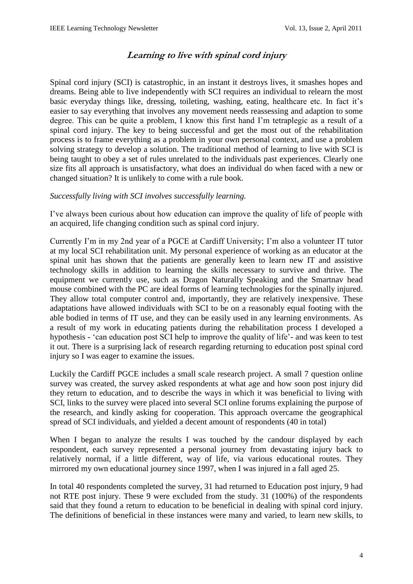# **Learning to live with spinal cord injury**

<span id="page-4-0"></span>Spinal cord injury (SCI) is catastrophic, in an instant it destroys lives, it smashes hopes and dreams. Being able to live independently with SCI requires an individual to relearn the most basic everyday things like, dressing, toileting, washing, eating, healthcare etc. In fact it's easier to say everything that involves any movement needs reassessing and adaption to some degree. This can be quite a problem, I know this first hand I"m tetraplegic as a result of a spinal cord injury. The key to being successful and get the most out of the rehabilitation process is to frame everything as a problem in your own personal context, and use a problem solving strategy to develop a solution. The traditional method of learning to live with SCI is being taught to obey a set of rules unrelated to the individuals past experiences. Clearly one size fits all approach is unsatisfactory, what does an individual do when faced with a new or changed situation? It is unlikely to come with a rule book.

#### *Successfully living with SCI involves successfully learning.*

I"ve always been curious about how education can improve the quality of life of people with an acquired, life changing condition such as spinal cord injury.

Currently I"m in my 2nd year of a PGCE at Cardiff University; I"m also a volunteer IT tutor at my local SCI rehabilitation unit. My personal experience of working as an educator at the spinal unit has shown that the patients are generally keen to learn new IT and assistive technology skills in addition to learning the skills necessary to survive and thrive. The equipment we currently use, such as Dragon Naturally Speaking and the Smartnav head mouse combined with the PC are ideal forms of learning technologies for the spinally injured. They allow total computer control and, importantly, they are relatively inexpensive. These adaptations have allowed individuals with SCI to be on a reasonably equal footing with the able bodied in terms of IT use, and they can be easily used in any learning environments. As a result of my work in educating patients during the rehabilitation process I developed a hypothesis - 'can education post SCI help to improve the quality of life'- and was keen to test it out. There is a surprising lack of research regarding returning to education post spinal cord injury so I was eager to examine the issues.

Luckily the Cardiff PGCE includes a small scale research project. A small 7 question online survey was created, the survey asked respondents at what age and how soon post injury did they return to education, and to describe the ways in which it was beneficial to living with SCI, links to the survey were placed into several SCI online forums explaining the purpose of the research, and kindly asking for cooperation. This approach overcame the geographical spread of SCI individuals, and yielded a decent amount of respondents (40 in total)

When I began to analyze the results I was touched by the candour displayed by each respondent, each survey represented a personal journey from devastating injury back to relatively normal, if a little different, way of life, via various educational routes. They mirrored my own educational journey since 1997, when I was injured in a fall aged 25.

In total 40 respondents completed the survey, 31 had returned to Education post injury, 9 had not RTE post injury. These 9 were excluded from the study. 31 (100%) of the respondents said that they found a return to education to be beneficial in dealing with spinal cord injury. The definitions of beneficial in these instances were many and varied, to learn new skills, to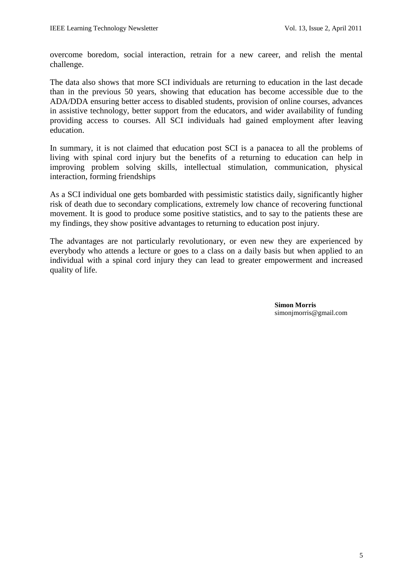overcome boredom, social interaction, retrain for a new career, and relish the mental challenge.

The data also shows that more SCI individuals are returning to education in the last decade than in the previous 50 years, showing that education has become accessible due to the ADA/DDA ensuring better access to disabled students, provision of online courses, advances in assistive technology, better support from the educators, and wider availability of funding providing access to courses. All SCI individuals had gained employment after leaving education.

In summary, it is not claimed that education post SCI is a panacea to all the problems of living with spinal cord injury but the benefits of a returning to education can help in improving problem solving skills, intellectual stimulation, communication, physical interaction, forming friendships

As a SCI individual one gets bombarded with pessimistic statistics daily, significantly higher risk of death due to secondary complications, extremely low chance of recovering functional movement. It is good to produce some positive statistics, and to say to the patients these are my findings, they show positive advantages to returning to education post injury.

The advantages are not particularly revolutionary, or even new they are experienced by everybody who attends a lecture or goes to a class on a daily basis but when applied to an individual with a spinal cord injury they can lead to greater empowerment and increased quality of life.

> **Simon Morris** simonjmorris@gmail.com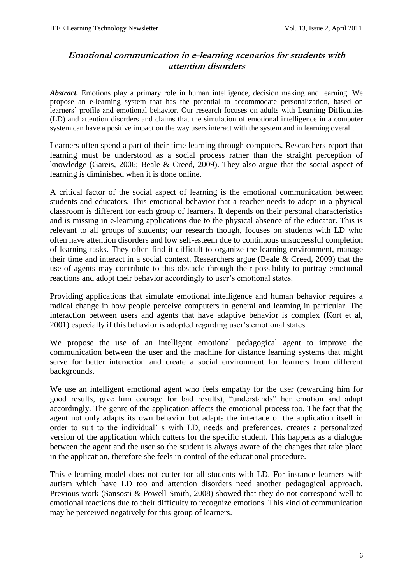# <span id="page-6-0"></span>**Emotional communication in e-learning scenarios for students with attention disorders**

*Abstract.* Emotions play a primary role in human intelligence, decision making and learning. We propose an e-learning system that has the potential to accommodate personalization, based on learners' profile and emotional behavior. Our research focuses on adults with Learning Difficulties (LD) and attention disorders and claims that the simulation of emotional intelligence in a computer system can have a positive impact on the way users interact with the system and in learning overall.

Learners often spend a part of their time learning through computers. Researchers report that learning must be understood as a social process rather than the straight perception of knowledge (Gareis, 2006; Beale & Creed, 2009). They also argue that the social aspect of learning is diminished when it is done online.

A critical factor of the social aspect of learning is the emotional communication between students and educators. This emotional behavior that a teacher needs to adopt in a physical classroom is different for each group of learners. It depends on their personal characteristics and is missing in e-learning applications due to the physical absence of the educator. This is relevant to all groups of students; our research though, focuses on students with LD who often have attention disorders and low self-esteem due to continuous unsuccessful completion of learning tasks. They often find it difficult to organize the learning environment, manage their time and interact in a social context. Researchers argue (Beale & Creed, 2009) that the use of agents may contribute to this obstacle through their possibility to portray emotional reactions and adopt their behavior accordingly to user's emotional states.

Providing applications that simulate emotional intelligence and human behavior requires a radical change in how people perceive computers in general and learning in particular. The interaction between users and agents that have adaptive behavior is complex (Kort et al, 2001) especially if this behavior is adopted regarding user"s emotional states.

We propose the use of an intelligent emotional pedagogical agent to improve the communication between the user and the machine for distance learning systems that might serve for better interaction and create a social environment for learners from different backgrounds.

We use an intelligent emotional agent who feels empathy for the user (rewarding him for good results, give him courage for bad results), "understands" her emotion and adapt accordingly. The genre of the application affects the emotional process too. The fact that the agent not only adapts its own behavior but adapts the interface of the application itself in order to suit to the individual" s with LD, needs and preferences, creates a personalized version of the application which cutters for the specific student. This happens as a dialogue between the agent and the user so the student is always aware of the changes that take place in the application, therefore she feels in control of the educational procedure.

This e-learning model does not cutter for all students with LD. For instance learners with autism which have LD too and attention disorders need another pedagogical approach. Previous work (Sansosti & Powell-Smith, 2008) showed that they do not correspond well to emotional reactions due to their difficulty to recognize emotions. This kind of communication may be perceived negatively for this group of learners.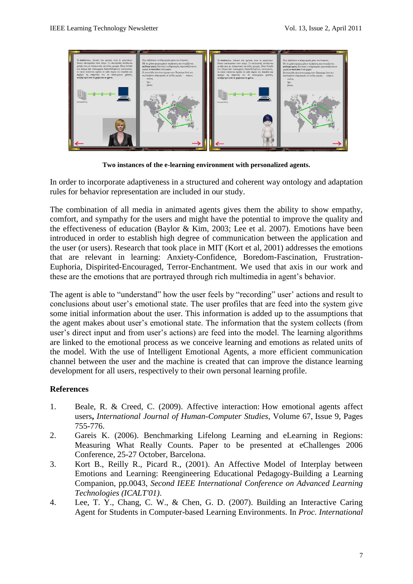

**Two instances of the e-learning environment with personalized agents.**

In order to incorporate adaptiveness in a structured and coherent way ontology and adaptation rules for behavior representation are included in our study.

The combination of all media in animated agents gives them the ability to show empathy, comfort, and sympathy for the users and might have the potential to improve the quality and the effectiveness of education (Baylor & Kim, 2003; Lee et al. 2007). Emotions have been introduced in order to establish high degree of communication between the application and the user (or users). Research that took place in MIT (Kort et al, 2001) addresses the emotions that are relevant in learning: Anxiety-Confidence, Boredom-Fascination, Frustration-Euphoria, Dispirited-Encouraged, Terror-Enchantment. We used that axis in our work and these are the emotions that are portrayed through rich multimedia in agent"s behavior.

The agent is able to "understand" how the user feels by "recording" user' actions and result to conclusions about user"s emotional state. The user profiles that are feed into the system give some initial information about the user. This information is added up to the assumptions that the agent makes about user"s emotional state. The information that the system collects (from user"s direct input and from user"s actions) are feed into the model. The learning algorithms are linked to the emotional process as we conceive learning and emotions as related units of the model. With the use of Intelligent Emotional Agents, a more efficient communication channel between the user and the machine is created that can improve the distance learning development for all users, respectively to their own personal learning profile.

## **References**

- 1. Beale, R. & Creed, C. (2009). Affective interaction: How emotional agents affect users**,** *International Journal of Human-Computer Studies*, Volume 67, Issue 9, Pages 755-776.
- 2. Gareis K. (2006). Benchmarking Lifelong Learning and eLearning in Regions: Measuring What Really Counts. Paper to be presented at eChallenges 2006 Conference, 25-27 October, Barcelona.
- 3. Kort B., Reilly R., Picard R., (2001). An Affective Model of Interplay between Emotions and Learning: Reengineering Educational Pedagogy-Building a Learning Companion, pp.0043, *Second IEEE International Conference on Advanced Learning Technologies (ICALT'01)*.
- 4. Lee, T. Y., Chang, C. W., & Chen, G. D. (2007). Building an Interactive Caring Agent for Students in Computer-based Learning Environments. In *Proc. International*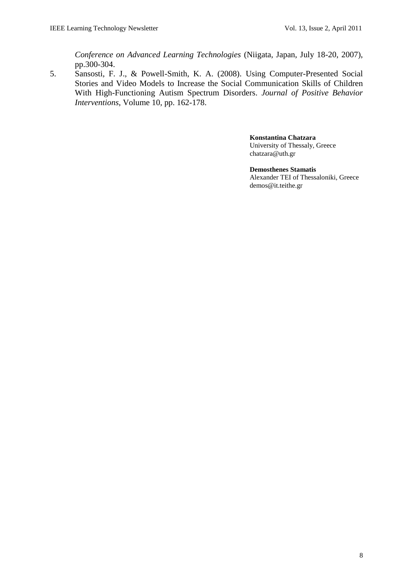*Conference on Advanced Learning Technologies* (Niigata, Japan, July 18-20, 2007), pp.300-304.

5. Sansosti, F. J., & Powell-Smith, K. A. (2008). Using Computer-Presented Social Stories and Video Models to Increase the Social Communication Skills of Children With High-Functioning Autism Spectrum Disorders. *Journal of Positive Behavior Interventions*, Volume 10, pp. 162-178.

> **Konstantina Chatzara** University of Thessaly, Greece chatzara@uth.gr

**Demosthenes Stamatis** Alexander TEI of Thessaloniki, Greece demos@it.teithe.gr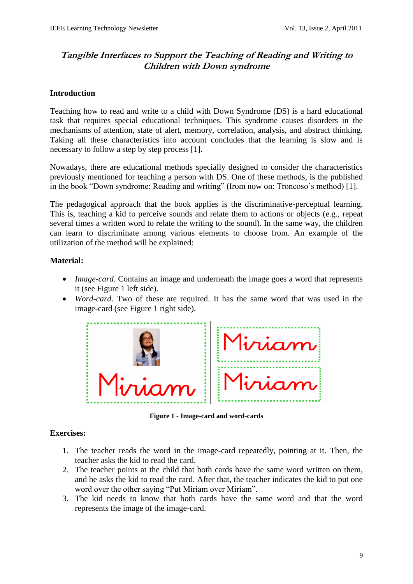# <span id="page-9-0"></span>**Tangible Interfaces to Support the Teaching of Reading and Writing to Children with Down syndrome**

## **Introduction**

Teaching how to read and write to a child with Down Syndrome (DS) is a hard educational task that requires special educational techniques. This syndrome causes disorders in the mechanisms of attention, state of alert, memory, correlation, analysis, and abstract thinking. Taking all these characteristics into account concludes that the learning is slow and is necessary to follow a step by step process [1].

Nowadays, there are educational methods specially designed to consider the characteristics previously mentioned for teaching a person with DS. One of these methods, is the published in the book "Down syndrome: Reading and writing" (from now on: Troncoso's method) [1].

The pedagogical approach that the book applies is the discriminative-perceptual learning. This is, teaching a kid to perceive sounds and relate them to actions or objects (e.g., repeat several times a written word to relate the writing to the sound). In the same way, the children can learn to discriminate among various elements to choose from. An example of the utilization of the method will be explained:

## **Material:**

- *Image-card*. Contains an image and underneath the image goes a word that represents it (see Figure 1 left side).
- *Word-card*. Two of these are required. It has the same word that was used in the image-card (see Figure 1 right side).



**Figure 1 - Image-card and word-cards**

## **Exercises:**

- 1. The teacher reads the word in the image-card repeatedly, pointing at it. Then, the teacher asks the kid to read the card.
- 2. The teacher points at the child that both cards have the same word written on them, and he asks the kid to read the card. After that, the teacher indicates the kid to put one word over the other saying "Put Miriam over Miriam".
- 3. The kid needs to know that both cards have the same word and that the word represents the image of the image-card.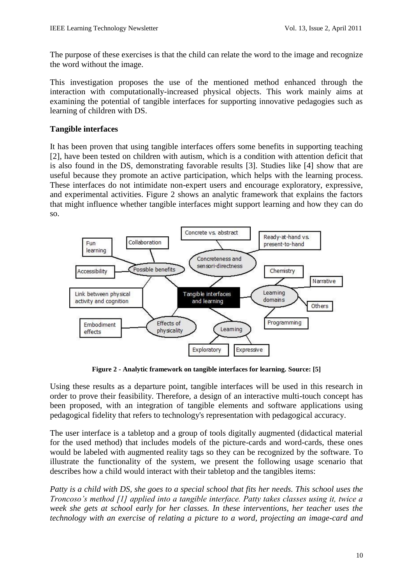The purpose of these exercises is that the child can relate the word to the image and recognize the word without the image.

This investigation proposes the use of the mentioned method enhanced through the interaction with computationally-increased physical objects. This work mainly aims at examining the potential of tangible interfaces for supporting innovative pedagogies such as learning of children with DS.

## **Tangible interfaces**

It has been proven that using tangible interfaces offers some benefits in supporting teaching [2], have been tested on children with autism, which is a condition with attention deficit that is also found in the DS, demonstrating favorable results [3]. Studies like [4] show that are useful because they promote an active participation, which helps with the learning process. These interfaces do not intimidate non-expert users and encourage exploratory, expressive, and experimental activities. Figure 2 shows an analytic framework that explains the factors that might influence whether tangible interfaces might support learning and how they can do so.



**Figure 2 - Analytic framework on tangible interfaces for learning. Source: [5]**

Using these results as a departure point, tangible interfaces will be used in this research in order to prove their feasibility. Therefore, a design of an interactive multi-touch concept has been proposed, with an integration of tangible elements and software applications using pedagogical fidelity that refers to technology's representation with pedagogical accuracy.

The user interface is a tabletop and a group of tools digitally augmented (didactical material for the used method) that includes models of the picture-cards and word-cards, these ones would be labeled with augmented reality tags so they can be recognized by the software. To illustrate the functionality of the system, we present the following usage scenario that describes how a child would interact with their tabletop and the tangibles items:

*Patty is a child with DS, she goes to a special school that fits her needs. This school uses the Troncoso's method [1] applied into a tangible interface. Patty takes classes using it, twice a week she gets at school early for her classes. In these interventions, her teacher uses the technology with an exercise of relating a picture to a word, projecting an image-card and*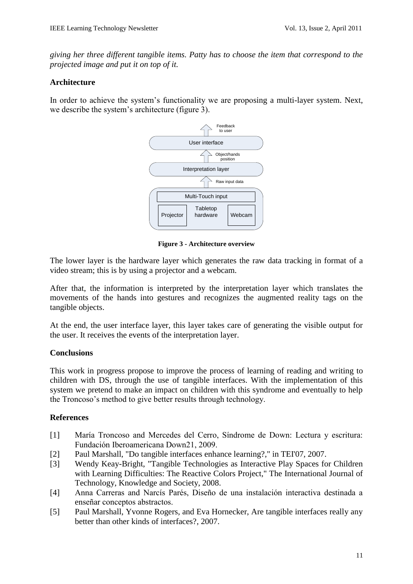*giving her three different tangible items. Patty has to choose the item that correspond to the projected image and put it on top of it.* 

### **Architecture**

In order to achieve the system"s functionality we are proposing a multi-layer system. Next, we describe the system"s architecture (figure 3).



**Figure 3 - Architecture overview**

The lower layer is the hardware layer which generates the raw data tracking in format of a video stream; this is by using a projector and a webcam.

After that, the information is interpreted by the interpretation layer which translates the movements of the hands into gestures and recognizes the augmented reality tags on the tangible objects.

At the end, the user interface layer, this layer takes care of generating the visible output for the user. It receives the events of the interpretation layer.

## **Conclusions**

This work in progress propose to improve the process of learning of reading and writing to children with DS, through the use of tangible interfaces. With the implementation of this system we pretend to make an impact on children with this syndrome and eventually to help the Troncoso"s method to give better results through technology.

## **References**

- [1] María Troncoso and Mercedes del Cerro, Síndrome de Down: Lectura y escritura: Fundación Iberoamericana Down21, 2009.
- [2] Paul Marshall, "Do tangible interfaces enhance learning?," in TEI'07, 2007.
- [3] Wendy Keay-Bright, "Tangible Technologies as Interactive Play Spaces for Children with Learning Difficulties: The Reactive Colors Project," The International Journal of Technology, Knowledge and Society, 2008.
- [4] Anna Carreras and Narcís Parés, Diseño de una instalación interactiva destinada a enseñar conceptos abstractos.
- [5] Paul Marshall, Yvonne Rogers, and Eva Hornecker, Are tangible interfaces really any better than other kinds of interfaces?, 2007.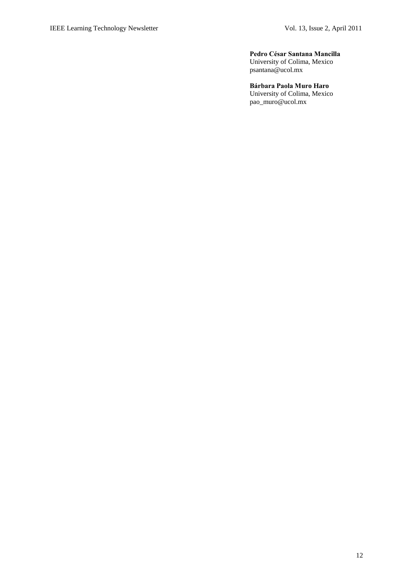#### **Pedro César Santana Mancilla**

University of Colima, Mexico psantana@ucol.mx

#### **Bárbara Paola Muro Haro**

University of Colima, Mexico pao\_muro@ucol.mx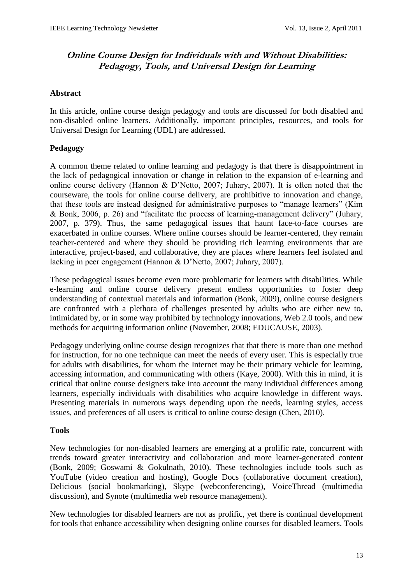# <span id="page-13-0"></span>**Online Course Design for Individuals with and Without Disabilities: Pedagogy, Tools, and Universal Design for Learning**

### **Abstract**

In this article, online course design pedagogy and tools are discussed for both disabled and non-disabled online learners. Additionally, important principles, resources, and tools for Universal Design for Learning (UDL) are addressed.

## **Pedagogy**

A common theme related to online learning and pedagogy is that there is disappointment in the lack of pedagogical innovation or change in relation to the expansion of e-learning and online course delivery (Hannon & D"Netto, 2007; Juhary, 2007). It is often noted that the courseware, the tools for online course delivery, are prohibitive to innovation and change, that these tools are instead designed for administrative purposes to "manage learners" (Kim & Bonk, 2006, p. 26) and "facilitate the process of learning-management delivery" (Juhary, 2007, p. 379). Thus, the same pedagogical issues that haunt face-to-face courses are exacerbated in online courses. Where online courses should be learner-centered, they remain teacher-centered and where they should be providing rich learning environments that are interactive, project-based, and collaborative, they are places where learners feel isolated and lacking in peer engagement (Hannon & D"Netto, 2007; Juhary, 2007).

These pedagogical issues become even more problematic for learners with disabilities. While e-learning and online course delivery present endless opportunities to foster deep understanding of contextual materials and information (Bonk, 2009), online course designers are confronted with a plethora of challenges presented by adults who are either new to, intimidated by, or in some way prohibited by technology innovations, Web 2.0 tools, and new methods for acquiring information online (November, 2008; EDUCAUSE, 2003).

Pedagogy underlying online course design recognizes that that there is more than one method for instruction, for no one technique can meet the needs of every user. This is especially true for adults with disabilities, for whom the Internet may be their primary vehicle for learning, accessing information, and communicating with others (Kaye, 2000). With this in mind, it is critical that online course designers take into account the many individual differences among learners, especially individuals with disabilities who acquire knowledge in different ways. Presenting materials in numerous ways depending upon the needs, learning styles, access issues, and preferences of all users is critical to online course design (Chen, 2010).

### **Tools**

New technologies for non-disabled learners are emerging at a prolific rate, concurrent with trends toward greater interactivity and collaboration and more learner-generated content (Bonk, 2009; Goswami & Gokulnath, 2010). These technologies include tools such as YouTube (video creation and hosting), Google Docs (collaborative document creation), Delicious (social bookmarking), Skype (webconferencing), VoiceThread (multimedia discussion), and Synote (multimedia web resource management).

New technologies for disabled learners are not as prolific, yet there is continual development for tools that enhance accessibility when designing online courses for disabled learners. Tools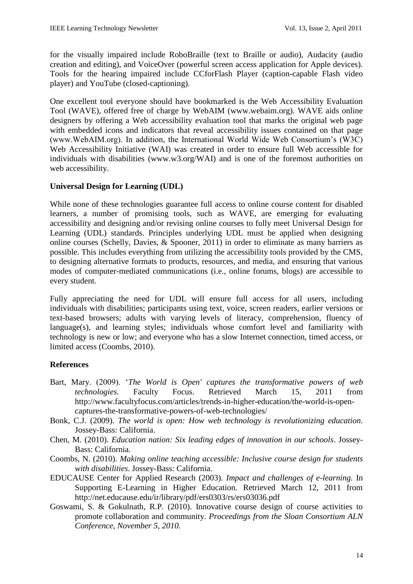for the visually impaired include RoboBraille (text to Braille or audio), Audacity (audio creation and editing), and VoiceOver (powerful screen access application for Apple devices). Tools for the hearing impaired include CCforFlash Player (caption-capable Flash video player) and YouTube (closed-captioning).

One excellent tool everyone should have bookmarked is the Web Accessibility Evaluation Tool (WAVE), offered free of charge by WebAIM (www.webaim.org). WAVE aids online designers by offering a Web accessibility evaluation tool that marks the original web page with embedded icons and indicators that reveal accessibility issues contained on that page (www.WebAIM.org). In addition, the International World Wide Web Consortium"s (W3C) Web Accessibility Initiative (WAI) was created in order to ensure full Web accessible for individuals with disabilities (www.w3.org/WAI) and is one of the foremost authorities on web accessibility.

## **Universal Design for Learning (UDL)**

While none of these technologies guarantee full access to online course content for disabled learners, a number of promising tools, such as WAVE, are emerging for evaluating accessibility and designing and/or revising online courses to fully meet Universal Design for Learning (UDL) standards. Principles underlying UDL must be applied when designing online courses (Schelly, Davies, & Spooner, 2011) in order to eliminate as many barriers as possible. This includes everything from utilizing the accessibility tools provided by the CMS, to designing alternative formats to products, resources, and media, and ensuring that various modes of computer-mediated communications (i.e., online forums, blogs) are accessible to every student.

Fully appreciating the need for UDL will ensure full access for all users, including individuals with disabilities; participants using text, voice, screen readers, earlier versions or text-based browsers; adults with varying levels of literacy, comprehension, fluency of language(s), and learning styles; individuals whose comfort level and familiarity with technology is new or low; and everyone who has a slow Internet connection, timed access, or limited access (Coombs, 2010).

## **References**

- Bart, Mary. (2009). "*The World is Open' captures the transformative powers of web technologies.* Faculty Focus. Retrieved March 15, 2011 from http://www.facultyfocus.com/articles/trends-in-higher-education/the-world-is-opencaptures-the-transformative-powers-of-web-technologies/
- Bonk, C.J. (2009). *The world is open: How web technology is revolutionizing education*. Jossey-Bass: California.
- Chen, M. (2010). *Education nation: Six leading edges of innovation in our schools*. Jossey-Bass: California.
- Coombs, N. (2010). *Making online teaching accessible: Inclusive course design for students with disabilities*. Jossey-Bass: California.
- EDUCAUSE Center for Applied Research (2003). *Impact and challenges of e-learning.* In Supporting E-Learning in Higher Education. Retrieved March 12, 2011 from http://net.educause.edu/ir/library/pdf/ers0303/rs/ers03036.pdf
- Goswami, S. & Gokulnath, R.P. (2010). Innovative course design of course activities to promote collaboration and community. *Proceedings from the Sloan Consortium ALN Conference, November 5, 2010.*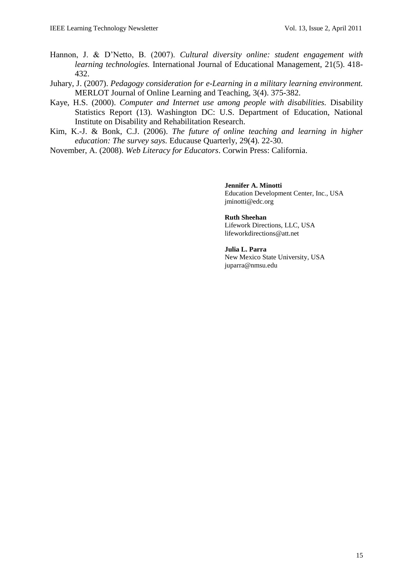- Hannon, J. & D"Netto, B. (2007). *Cultural diversity online: student engagement with learning technologies.* International Journal of Educational Management, 21(5). 418- 432.
- Juhary, J. (2007). *Pedagogy consideration for e-Learning in a military learning environment.*  MERLOT Journal of Online Learning and Teaching, 3(4). 375-382.
- Kaye, H.S. (2000). *Computer and Internet use among people with disabilities.* Disability Statistics Report (13). Washington DC: U.S. Department of Education, National Institute on Disability and Rehabilitation Research.
- Kim, K.-J. & Bonk, C.J. (2006). *The future of online teaching and learning in higher education: The survey says.* Educause Quarterly, 29(4). 22-30.
- November, A. (2008). *Web Literacy for Educators*. Corwin Press: California.

**Jennifer A. Minotti**  Education Development Center, Inc., USA jminotti@edc.org

**Ruth Sheehan** Lifework Directions, LLC, USA lifeworkdirections@att.net

**Julia L. Parra**  New Mexico State University, USA juparra@nmsu.edu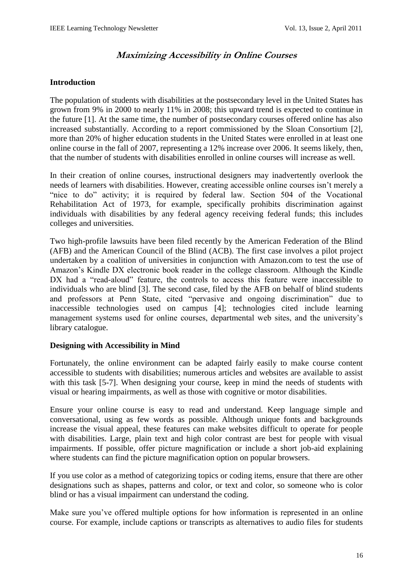# **Maximizing Accessibility in Online Courses**

### <span id="page-16-0"></span>**Introduction**

The population of students with disabilities at the postsecondary level in the United States has grown from 9% in 2000 to nearly 11% in 2008; this upward trend is expected to continue in the future [1]. At the same time, the number of postsecondary courses offered online has also increased substantially. According to a report commissioned by the Sloan Consortium [2], more than 20% of higher education students in the United States were enrolled in at least one online course in the fall of 2007, representing a 12% increase over 2006. It seems likely, then, that the number of students with disabilities enrolled in online courses will increase as well.

In their creation of online courses, instructional designers may inadvertently overlook the needs of learners with disabilities. However, creating accessible online courses isn"t merely a "nice to do" activity; it is required by federal law. Section 504 of the Vocational Rehabilitation Act of 1973, for example, specifically prohibits discrimination against individuals with disabilities by any federal agency receiving federal funds; this includes colleges and universities.

Two high-profile lawsuits have been filed recently by the American Federation of the Blind (AFB) and the American Council of the Blind (ACB). The first case involves a pilot project undertaken by a coalition of universities in conjunction with Amazon.com to test the use of Amazon"s Kindle DX electronic book reader in the college classroom. Although the Kindle DX had a "read-aloud" feature, the controls to access this feature were inaccessible to individuals who are blind [3]. The second case, filed by the AFB on behalf of blind students and professors at Penn State, cited "pervasive and ongoing discrimination" due to inaccessible technologies used on campus [4]; technologies cited include learning management systems used for online courses, departmental web sites, and the university"s library catalogue.

### **Designing with Accessibility in Mind**

Fortunately, the online environment can be adapted fairly easily to make course content accessible to students with disabilities; numerous articles and websites are available to assist with this task [5-7]. When designing your course, keep in mind the needs of students with visual or hearing impairments, as well as those with cognitive or motor disabilities.

Ensure your online course is easy to read and understand. Keep language simple and conversational, using as few words as possible. Although unique fonts and backgrounds increase the visual appeal, these features can make websites difficult to operate for people with disabilities. Large, plain text and high color contrast are best for people with visual impairments. If possible, offer picture magnification or include a short job-aid explaining where students can find the picture magnification option on popular browsers.

If you use color as a method of categorizing topics or coding items, ensure that there are other designations such as shapes, patterns and color, or text and color, so someone who is color blind or has a visual impairment can understand the coding.

Make sure you've offered multiple options for how information is represented in an online course. For example, include captions or transcripts as alternatives to audio files for students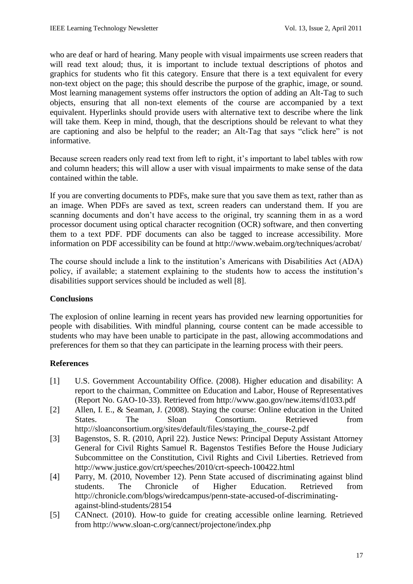who are deaf or hard of hearing. Many people with visual impairments use screen readers that will read text aloud; thus, it is important to include textual descriptions of photos and graphics for students who fit this category. Ensure that there is a text equivalent for every non-text object on the page; this should describe the purpose of the graphic, image, or sound. Most learning management systems offer instructors the option of adding an Alt-Tag to such objects, ensuring that all non-text elements of the course are accompanied by a text equivalent. Hyperlinks should provide users with alternative text to describe where the link will take them. Keep in mind, though, that the descriptions should be relevant to what they are captioning and also be helpful to the reader; an Alt-Tag that says "click here" is not informative.

Because screen readers only read text from left to right, it's important to label tables with row and column headers; this will allow a user with visual impairments to make sense of the data contained within the table.

If you are converting documents to PDFs, make sure that you save them as text, rather than as an image. When PDFs are saved as text, screen readers can understand them. If you are scanning documents and don"t have access to the original, try scanning them in as a word processor document using optical character recognition (OCR) software, and then converting them to a text PDF. PDF documents can also be tagged to increase accessibility. More information on PDF accessibility can be found at http://www.webaim.org/techniques/acrobat/

The course should include a link to the institution"s Americans with Disabilities Act (ADA) policy, if available; a statement explaining to the students how to access the institution"s disabilities support services should be included as well [8].

## **Conclusions**

The explosion of online learning in recent years has provided new learning opportunities for people with disabilities. With mindful planning, course content can be made accessible to students who may have been unable to participate in the past, allowing accommodations and preferences for them so that they can participate in the learning process with their peers.

## **References**

- [1] U.S. Government Accountability Office. (2008). Higher education and disability: A report to the chairman, Committee on Education and Labor, House of Representatives (Report No. GAO-10-33). Retrieved from http://www.gao.gov/new.items/d1033.pdf
- [2] Allen, I. E., & Seaman, J. (2008). Staying the course: Online education in the United States. The Sloan Consortium. Retrieved from http://sloanconsortium.org/sites/default/files/staying\_the\_course-2.pdf
- [3] Bagenstos, S. R. (2010, April 22). Justice News: Principal Deputy Assistant Attorney General for Civil Rights Samuel R. Bagenstos Testifies Before the House Judiciary Subcommittee on the Constitution, Civil Rights and Civil Liberties. Retrieved from http://www.justice.gov/crt/speeches/2010/crt-speech-100422.html
- [4] Parry, M. (2010, November 12). Penn State accused of discriminating against blind students. The Chronicle of Higher Education. Retrieved from http://chronicle.com/blogs/wiredcampus/penn-state-accused-of-discriminatingagainst-blind-students/28154
- [5] CANnect. (2010). How-to guide for creating accessible online learning. Retrieved from http://www.sloan-c.org/cannect/projectone/index.php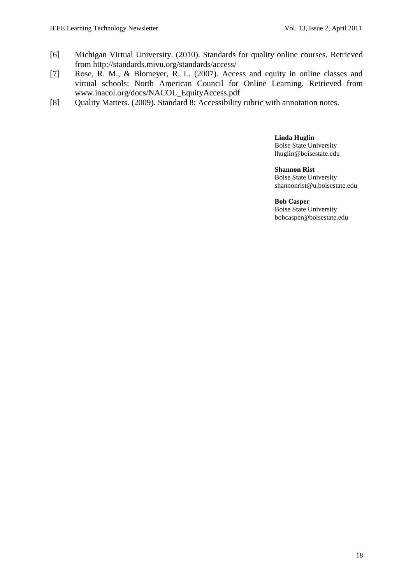- [6] Michigan Virtual University. (2010). Standards for quality online courses. Retrieved from http://standards.mivu.org/standards/access/
- [7] Rose, R. M., & Blomeyer, R. L. (2007). Access and equity in online classes and virtual schools: North American Council for Online Learning. Retrieved from www.inacol.org/docs/NACOL\_EquityAccess.pdf
- [8] Quality Matters. (2009). Standard 8: Accessibility rubric with annotation notes.

**Linda Huglin** Boise State University lhuglin@boisestate.edu

**Shannon Rist** Boise State University shannonrist@u.boisestate.edu

**Bob Casper** Boise State University bobcasper@boisestate.edu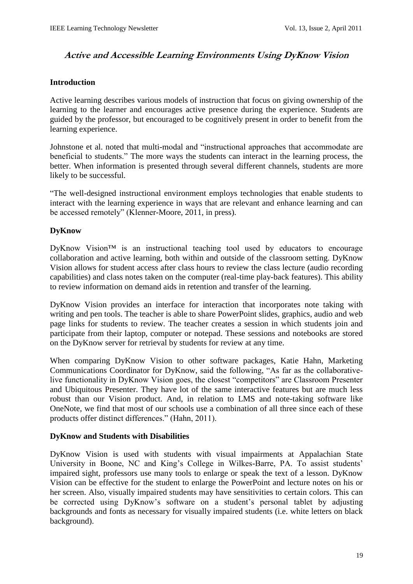# <span id="page-19-0"></span>**Active and Accessible Learning Environments Using DyKnow Vision**

### **Introduction**

Active learning describes various models of instruction that focus on giving ownership of the learning to the learner and encourages active presence during the experience. Students are guided by the professor, but encouraged to be cognitively present in order to benefit from the learning experience.

Johnstone et al. noted that multi-modal and "instructional approaches that accommodate are beneficial to students." The more ways the students can interact in the learning process, the better. When information is presented through several different channels, students are more likely to be successful.

"The well-designed instructional environment employs technologies that enable students to interact with the learning experience in ways that are relevant and enhance learning and can be accessed remotely" (Klenner-Moore, 2011, in press).

## **DyKnow**

DyKnow Vision<sup>™</sup> is an instructional teaching tool used by educators to encourage collaboration and active learning, both within and outside of the classroom setting. DyKnow Vision allows for student access after class hours to review the class lecture (audio recording capabilities) and class notes taken on the computer (real-time play-back features). This ability to review information on demand aids in retention and transfer of the learning.

DyKnow Vision provides an interface for interaction that incorporates note taking with writing and pen tools. The teacher is able to share PowerPoint slides, graphics, audio and web page links for students to review. The teacher creates a session in which students join and participate from their laptop, computer or notepad. These sessions and notebooks are stored on the DyKnow server for retrieval by students for review at any time.

When comparing DyKnow Vision to other software packages, Katie Hahn, Marketing Communications Coordinator for DyKnow, said the following, "As far as the collaborativelive functionality in DyKnow Vision goes, the closest "competitors" are Classroom Presenter and Ubiquitous Presenter. They have lot of the same interactive features but are much less robust than our Vision product. And, in relation to LMS and note-taking software like OneNote, we find that most of our schools use a combination of all three since each of these products offer distinct differences." (Hahn, 2011).

### **DyKnow and Students with Disabilities**

DyKnow Vision is used with students with visual impairments at Appalachian State University in Boone, NC and King"s College in Wilkes-Barre, PA. To assist students" impaired sight, professors use many tools to enlarge or speak the text of a lesson. DyKnow Vision can be effective for the student to enlarge the PowerPoint and lecture notes on his or her screen. Also, visually impaired students may have sensitivities to certain colors. This can be corrected using DyKnow's software on a student's personal tablet by adjusting backgrounds and fonts as necessary for visually impaired students (i.e. white letters on black background).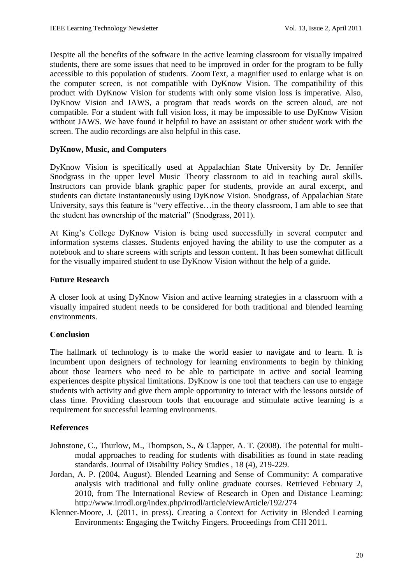Despite all the benefits of the software in the active learning classroom for visually impaired students, there are some issues that need to be improved in order for the program to be fully accessible to this population of students. ZoomText, a magnifier used to enlarge what is on the computer screen, is not compatible with DyKnow Vision. The compatibility of this product with DyKnow Vision for students with only some vision loss is imperative. Also, DyKnow Vision and JAWS, a program that reads words on the screen aloud, are not compatible. For a student with full vision loss, it may be impossible to use DyKnow Vision without JAWS. We have found it helpful to have an assistant or other student work with the screen. The audio recordings are also helpful in this case.

## **DyKnow, Music, and Computers**

DyKnow Vision is specifically used at Appalachian State University by Dr. Jennifer Snodgrass in the upper level Music Theory classroom to aid in teaching aural skills. Instructors can provide blank graphic paper for students, provide an aural excerpt, and students can dictate instantaneously using DyKnow Vision. Snodgrass, of Appalachian State University, says this feature is "very effective…in the theory classroom, I am able to see that the student has ownership of the material" (Snodgrass, 2011).

At King's College DyKnow Vision is being used successfully in several computer and information systems classes. Students enjoyed having the ability to use the computer as a notebook and to share screens with scripts and lesson content. It has been somewhat difficult for the visually impaired student to use DyKnow Vision without the help of a guide.

## **Future Research**

A closer look at using DyKnow Vision and active learning strategies in a classroom with a visually impaired student needs to be considered for both traditional and blended learning environments.

## **Conclusion**

The hallmark of technology is to make the world easier to navigate and to learn. It is incumbent upon designers of technology for learning environments to begin by thinking about those learners who need to be able to participate in active and social learning experiences despite physical limitations. DyKnow is one tool that teachers can use to engage students with activity and give them ample opportunity to interact with the lessons outside of class time. Providing classroom tools that encourage and stimulate active learning is a requirement for successful learning environments.

## **References**

- Johnstone, C., Thurlow, M., Thompson, S., & Clapper, A. T. (2008). The potential for multimodal approaches to reading for students with disabilities as found in state reading standards. Journal of Disability Policy Studies , 18 (4), 219-229.
- Jordan, A. P. (2004, August). Blended Learning and Sense of Community: A comparative analysis with traditional and fully online graduate courses. Retrieved February 2, 2010, from The International Review of Research in Open and Distance Learning: http://www.irrodl.org/index.php/irrodl/article/viewArticle/192/274
- Klenner-Moore, J. (2011, in press). Creating a Context for Activity in Blended Learning Environments: Engaging the Twitchy Fingers. Proceedings from CHI 2011.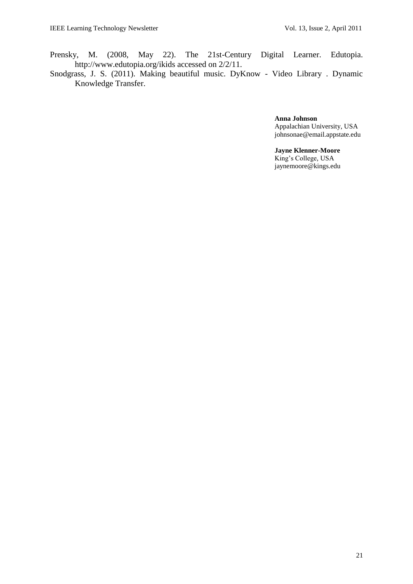- Prensky, M. (2008, May 22). The 21st-Century Digital Learner. Edutopia. http://www.edutopia.org/ikids accessed on 2/2/11.
- Snodgrass, J. S. (2011). Making beautiful music. DyKnow Video Library . Dynamic Knowledge Transfer.

**Anna Johnson** Appalachian University, USA johnsonae@email.appstate.edu

**Jayne Klenner-Moore** King"s College, USA jaynemoore@kings.edu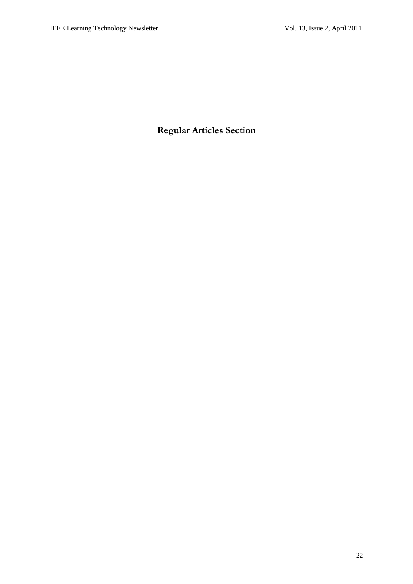<span id="page-22-0"></span>**Regular Articles Section**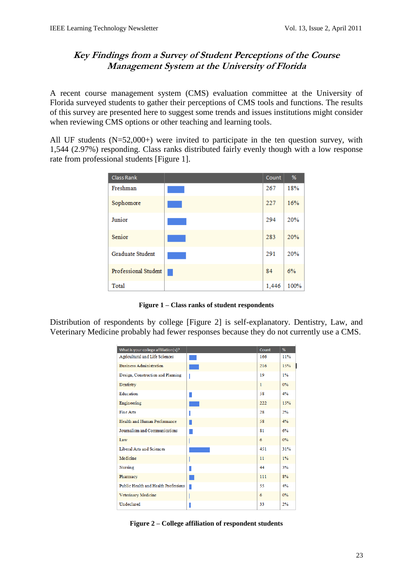# <span id="page-23-0"></span>**Key Findings from a Survey of Student Perceptions of the Course Management System at the University of Florida**

A recent course management system (CMS) evaluation committee at the University of Florida surveyed students to gather their perceptions of CMS tools and functions. The results of this survey are presented here to suggest some trends and issues institutions might consider when reviewing CMS options or other teaching and learning tools.

All UF students (N=52,000+) were invited to participate in the ten question survey, with 1,544 (2.97%) responding. Class ranks distributed fairly evenly though with a low response rate from professional students [Figure 1].

| <b>Class Rank</b>       | Count | %    |
|-------------------------|-------|------|
| Freshman                | 267   | 18%  |
| Sophomore               | 227   | 16%  |
| Junior                  | 294   | 20%  |
| Senior                  | 283   | 20%  |
| <b>Graduate Student</b> | 291   | 20%  |
| Professional Student    | 84    | 6%   |
| Total                   | 1,446 | 100% |

**Figure 1 – Class ranks of student respondents**

Distribution of respondents by college [Figure 2] is self-explanatory. Dentistry, Law, and Veterinary Medicine probably had fewer responses because they do not currently use a CMS.

| What is your college affiliation(s)? | Count        | %     |
|--------------------------------------|--------------|-------|
| Agricultural and Life Sciences       | 166          | 11%   |
| <b>Business Administration</b>       | 216          | 15%   |
| Design, Construction and Planning    | 19           | 1%    |
| Dentistry                            | $\mathbf{1}$ | 0%    |
| Education                            | 58           | 4%    |
| Engineering                          | 222          | 15%   |
| <b>Fine Arts</b>                     | 28           | 2%    |
| Health and Human Performance         | 58           | 4%    |
| Journalism and Communications        | 81           | 6%    |
| Law                                  | 6            | $0\%$ |
| Liberal Arts and Sciences            | 451          | 31%   |
| Medicine                             | 11           | $1\%$ |
| Nursing                              | 44           | 3%    |
| Pharmacy                             | 111          | 8%    |
| Public Health and Health Professions | 55           | 4%    |
| Veterinary Medicine                  | 6            | 0%    |
| Undeclared                           | 33           | 2%    |

**Figure 2 – College affiliation of respondent students**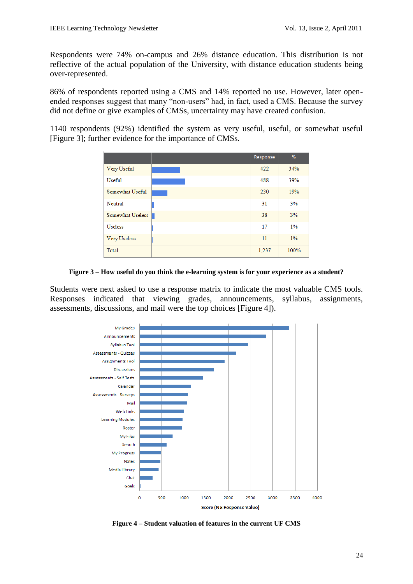Respondents were 74% on-campus and 26% distance education. This distribution is not reflective of the actual population of the University, with distance education students being over-represented.

86% of respondents reported using a CMS and 14% reported no use. However, later openended responses suggest that many "non-users" had, in fact, used a CMS. Because the survey did not define or give examples of CMSs, uncertainty may have created confusion.

1140 respondents (92%) identified the system as very useful, useful, or somewhat useful [Figure 3]; further evidence for the importance of CMSs.

|                     | Response | %    |
|---------------------|----------|------|
| Very Useful         | 422      | 34%  |
| <b>Useful</b>       | 488      | 39%  |
| Somewhat Useful     | 230      | 19%  |
| Neutral             | 31       | 3%   |
| Somewhat Useless    | 38       | 3%   |
| <b>Useless</b>      | 17       | 1%   |
| <b>Very Useless</b> | 11       | 1%   |
| Total               | 1,237    | 100% |

**Figure 3 – How useful do you think the e-learning system is for your experience as a student?**

Students were next asked to use a response matrix to indicate the most valuable CMS tools. Responses indicated that viewing grades, announcements, syllabus, assignments, assessments, discussions, and mail were the top choices [Figure 4]).



**Figure 4 – Student valuation of features in the current UF CMS**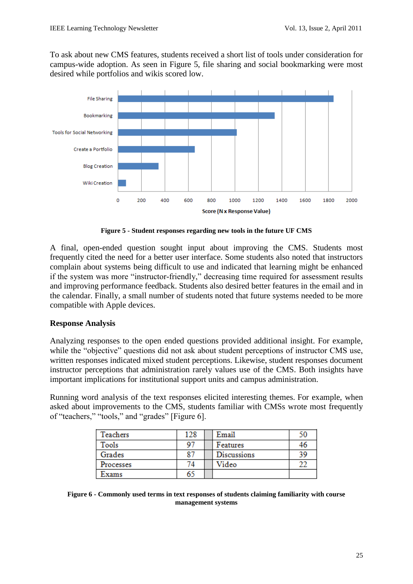To ask about new CMS features, students received a short list of tools under consideration for campus-wide adoption. As seen in Figure 5, file sharing and social bookmarking were most desired while portfolios and wikis scored low.



**Figure 5 - Student responses regarding new tools in the future UF CMS**

A final, open-ended question sought input about improving the CMS. Students most frequently cited the need for a better user interface. Some students also noted that instructors complain about systems being difficult to use and indicated that learning might be enhanced if the system was more "instructor-friendly," decreasing time required for assessment results and improving performance feedback. Students also desired better features in the email and in the calendar. Finally, a small number of students noted that future systems needed to be more compatible with Apple devices.

## **Response Analysis**

Analyzing responses to the open ended questions provided additional insight. For example, while the "objective" questions did not ask about student perceptions of instructor CMS use, written responses indicated mixed student perceptions. Likewise, student responses document instructor perceptions that administration rarely values use of the CMS. Both insights have important implications for institutional support units and campus administration.

Running word analysis of the text responses elicited interesting themes. For example, when asked about improvements to the CMS, students familiar with CMSs wrote most frequently of "teachers," "tools," and "grades" [Figure 6].

| <b>Teachers</b> | 128 | Email              | 50 |
|-----------------|-----|--------------------|----|
| Tools           | 97  | Features           | 46 |
| Grades          | 87  | <b>Discussions</b> | 39 |
| Processes       | 74  | Video              |    |
| Exams           | 65  |                    |    |

**Figure 6 - Commonly used terms in text responses of students claiming familiarity with course management systems**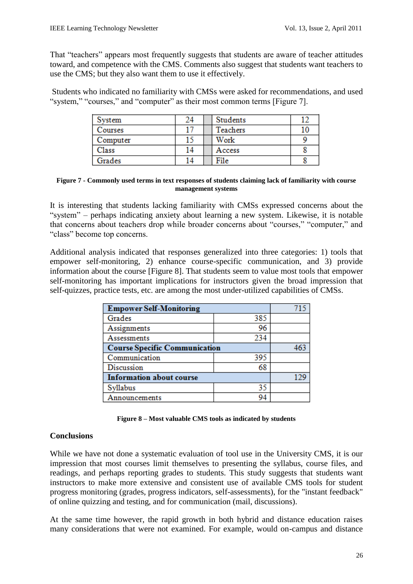That "teachers" appears most frequently suggests that students are aware of teacher attitudes toward, and competence with the CMS. Comments also suggest that students want teachers to use the CMS; but they also want them to use it effectively.

Students who indicated no familiarity with CMSs were asked for recommendations, and used "system," "courses," and "computer" as their most common terms [Figure 7].

| System   | 24 | Students |    |
|----------|----|----------|----|
| Courses  |    | Teachers | 10 |
| Computer | 15 | Work     |    |
| Class    | 14 | Access   |    |
| Grades   |    | File     |    |

#### **Figure 7 - Commonly used terms in text responses of students claiming lack of familiarity with course management systems**

It is interesting that students lacking familiarity with CMSs expressed concerns about the "system" – perhaps indicating anxiety about learning a new system. Likewise, it is notable that concerns about teachers drop while broader concerns about "courses," "computer," and "class" become top concerns.

Additional analysis indicated that responses generalized into three categories: 1) tools that empower self-monitoring, 2) enhance course-specific communication, and 3) provide information about the course [Figure 8]. That students seem to value most tools that empower self-monitoring has important implications for instructors given the broad impression that self-quizzes, practice tests, etc. are among the most under-utilized capabilities of CMSs.

| <b>Empower Self-Monitoring</b>       |     |  |
|--------------------------------------|-----|--|
| Grades                               | 385 |  |
| Assignments                          | 96  |  |
| Assessments                          | 234 |  |
| <b>Course Specific Communication</b> | 463 |  |
| Communication                        | 395 |  |
| Discussion                           | 68  |  |
| <b>Information about course</b>      | 129 |  |
| Syllabus                             | 35  |  |
| Announcements                        | 94  |  |

| Figure 8 – Most valuable CMS tools as indicated by students |  |  |  |  |  |  |  |
|-------------------------------------------------------------|--|--|--|--|--|--|--|
|-------------------------------------------------------------|--|--|--|--|--|--|--|

## **Conclusions**

While we have not done a systematic evaluation of tool use in the University CMS, it is our impression that most courses limit themselves to presenting the syllabus, course files, and readings, and perhaps reporting grades to students. This study suggests that students want instructors to make more extensive and consistent use of available CMS tools for student progress monitoring (grades, progress indicators, self-assessments), for the "instant feedback" of online quizzing and testing, and for communication (mail, discussions).

At the same time however, the rapid growth in both hybrid and distance education raises many considerations that were not examined. For example, would on-campus and distance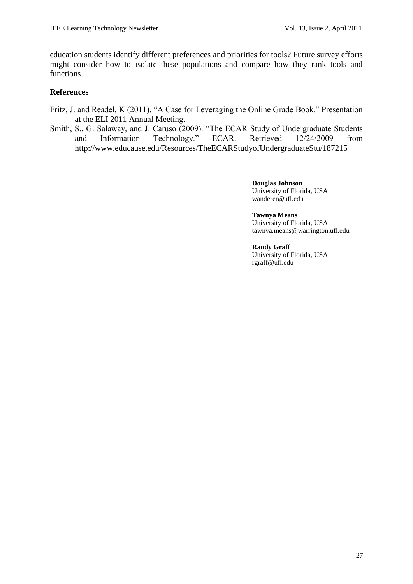education students identify different preferences and priorities for tools? Future survey efforts might consider how to isolate these populations and compare how they rank tools and functions.

### **References**

- Fritz, J. and Readel, K (2011). "A Case for Leveraging the Online Grade Book." Presentation at the ELI 2011 Annual Meeting.
- Smith, S., G. Salaway, and J. Caruso (2009). "The ECAR Study of Undergraduate Students and Information Technology." ECAR. Retrieved 12/24/2009 from http://www.educause.edu/Resources/TheECARStudyofUndergraduateStu/187215

**Douglas Johnson** University of Florida, USA wanderer@ufl.edu

**Tawnya Means** University of Florida, USA tawnya.means@warrington.ufl.edu

#### **Randy Graff**

University of Florida, USA rgraff@ufl.edu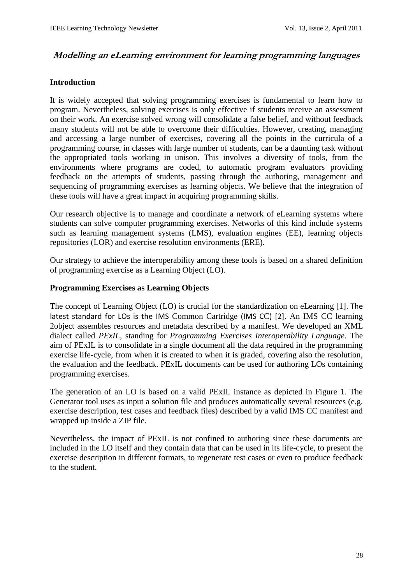## <span id="page-28-0"></span>**Modelling an eLearning environment for learning programming languages**

### **Introduction**

It is widely accepted that solving programming exercises is fundamental to learn how to program. Nevertheless, solving exercises is only effective if students receive an assessment on their work. An exercise solved wrong will consolidate a false belief, and without feedback many students will not be able to overcome their difficulties. However, creating, managing and accessing a large number of exercises, covering all the points in the curricula of a programming course, in classes with large number of students, can be a daunting task without the appropriated tools working in unison. This involves a diversity of tools, from the environments where programs are coded, to automatic program evaluators providing feedback on the attempts of students, passing through the authoring, management and sequencing of programming exercises as learning objects. We believe that the integration of these tools will have a great impact in acquiring programming skills.

Our research objective is to manage and coordinate a network of eLearning systems where students can solve computer programming exercises. Networks of this kind include systems such as learning management systems (LMS), evaluation engines (EE), learning objects repositories (LOR) and exercise resolution environments (ERE).

Our strategy to achieve the interoperability among these tools is based on a shared definition of programming exercise as a Learning Object (LO).

#### **Programming Exercises as Learning Objects**

The concept of Learning Object (LO) is crucial for the standardization on eLearning [1]. The latest standard for LOs is the IMS Common Cartridge (IMS CC) [2]. An IMS CC learning 2object assembles resources and metadata described by a manifest. We developed an XML dialect called *PExIL*, standing for *Programming Exercises Interoperability Language*. The aim of PExIL is to consolidate in a single document all the data required in the programming exercise life-cycle, from when it is created to when it is graded, covering also the resolution, the evaluation and the feedback. PExIL documents can be used for authoring LOs containing programming exercises.

The generation of an LO is based on a valid PExIL instance as depicted in Figure 1. The Generator tool uses as input a solution file and produces automatically several resources (e.g. exercise description, test cases and feedback files) described by a valid IMS CC manifest and wrapped up inside a ZIP file.

Nevertheless, the impact of PExIL is not confined to authoring since these documents are included in the LO itself and they contain data that can be used in its life-cycle, to present the exercise description in different formats, to regenerate test cases or even to produce feedback to the student.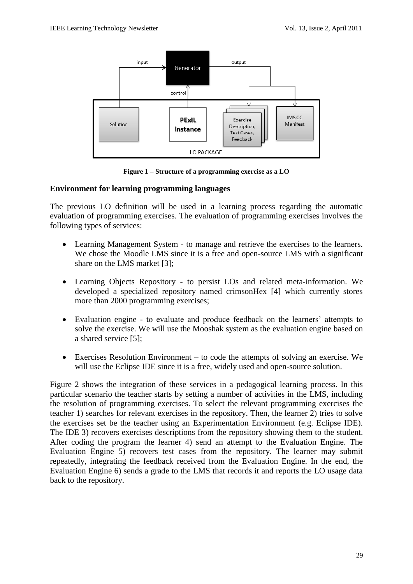

**Figure 1 – Structure of a programming exercise as a LO**

## **Environment for learning programming languages**

The previous LO definition will be used in a learning process regarding the automatic evaluation of programming exercises. The evaluation of programming exercises involves the following types of services:

- Learning Management System to manage and retrieve the exercises to the learners. We chose the Moodle LMS since it is a free and open-source LMS with a significant share on the LMS market [3];
- Learning Objects Repository to persist LOs and related meta-information. We developed a specialized repository named crimsonHex [4] which currently stores more than 2000 programming exercises;
- Evaluation engine to evaluate and produce feedback on the learners' attempts to solve the exercise. We will use the Mooshak system as the evaluation engine based on a shared service [5];
- Exercises Resolution Environment to code the attempts of solving an exercise. We will use the Eclipse IDE since it is a free, widely used and open-source solution.

Figure 2 shows the integration of these services in a pedagogical learning process. In this particular scenario the teacher starts by setting a number of activities in the LMS, including the resolution of programming exercises. To select the relevant programming exercises the teacher 1) searches for relevant exercises in the repository. Then, the learner 2) tries to solve the exercises set be the teacher using an Experimentation Environment (e.g. Eclipse IDE). The IDE 3) recovers exercises descriptions from the repository showing them to the student. After coding the program the learner 4) send an attempt to the Evaluation Engine. The Evaluation Engine 5) recovers test cases from the repository. The learner may submit repeatedly, integrating the feedback received from the Evaluation Engine. In the end, the Evaluation Engine 6) sends a grade to the LMS that records it and reports the LO usage data back to the repository.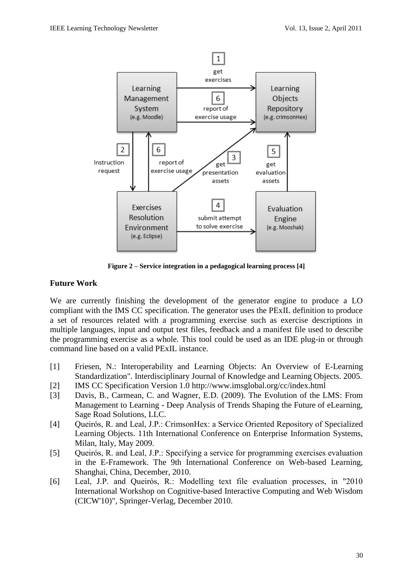

**Figure 2 – Service integration in a pedagogical learning process [4]**

### **Future Work**

We are currently finishing the development of the generator engine to produce a LO compliant with the IMS CC specification. The generator uses the PExIL definition to produce a set of resources related with a programming exercise such as exercise descriptions in multiple languages, input and output test files, feedback and a manifest file used to describe the programming exercise as a whole. This tool could be used as an IDE plug-in or through command line based on a valid PExIL instance.

- [1] Friesen, N.: Interoperability and Learning Objects: An Overview of E-Learning Standardization". Interdisciplinary Journal of Knowledge and Learning Objects. 2005.
- [2] IMS CC Specification Version 1.0<http://www.imsglobal.org/cc/index.html>
- [3] Davis, B., Carmean, C. and Wagner, E.D. (2009). The Evolution of the LMS: From Management to Learning - Deep Analysis of Trends Shaping the Future of eLearning, Sage Road Solutions, LLC.
- [4] Queirós, R. and Leal, J.P.: CrimsonHex: a Service Oriented Repository of Specialized Learning Objects. 11th International Conference on Enterprise Information Systems, Milan, Italy, May 2009.
- [5] Queirós, R. and Leal, J.P.: Specifying a service for programming exercises evaluation in the E-Framework. The 9th International Conference on Web-based Learning, Shanghai, China, December, 2010.
- [6] Leal, J.P. and Queirós, R.: Modelling text file evaluation processes, in "2010 International Workshop on Cognitive-based Interactive Computing and Web Wisdom (CICW'10)", Springer-Verlag, December 2010.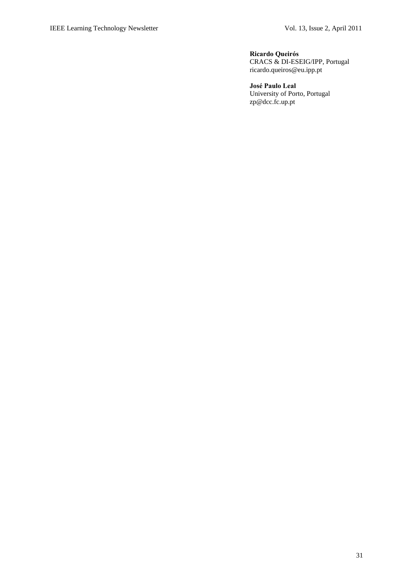#### **Ricardo Queirós**

CRACS & DI-ESEIG/IPP, Portugal ricardo.queiros@eu.ipp.pt

**José Paulo Leal** University of Porto, Portugal [zp@dcc.fc.up.pt](mailto:zp@dcc.fc.up.pt)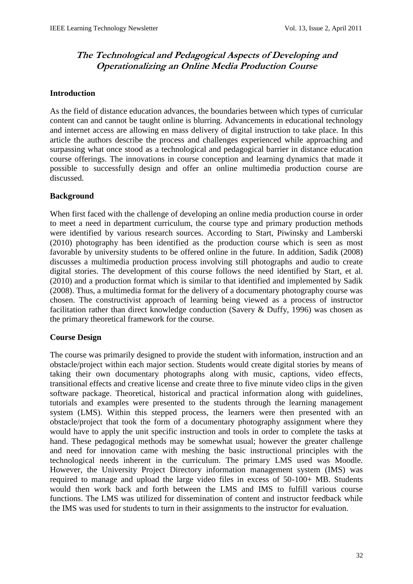# <span id="page-32-0"></span>**The Technological and Pedagogical Aspects of Developing and Operationalizing an Online Media Production Course**

## **Introduction**

As the field of distance education advances, the boundaries between which types of curricular content can and cannot be taught online is blurring. Advancements in educational technology and internet access are allowing en mass delivery of digital instruction to take place. In this article the authors describe the process and challenges experienced while approaching and surpassing what once stood as a technological and pedagogical barrier in distance education course offerings. The innovations in course conception and learning dynamics that made it possible to successfully design and offer an online multimedia production course are discussed.

### **Background**

When first faced with the challenge of developing an online media production course in order to meet a need in department curriculum, the course type and primary production methods were identified by various research sources. According to Start, Piwinsky and Lamberski (2010) photography has been identified as the production course which is seen as most favorable by university students to be offered online in the future. In addition, Sadik (2008) discusses a multimedia production process involving still photographs and audio to create digital stories. The development of this course follows the need identified by Start, et al. (2010) and a production format which is similar to that identified and implemented by Sadik (2008). Thus, a multimedia format for the delivery of a documentary photography course was chosen. The constructivist approach of learning being viewed as a process of instructor facilitation rather than direct knowledge conduction (Savery & Duffy, 1996) was chosen as the primary theoretical framework for the course.

### **Course Design**

The course was primarily designed to provide the student with information, instruction and an obstacle/project within each major section. Students would create digital stories by means of taking their own documentary photographs along with music, captions, video effects, transitional effects and creative license and create three to five minute video clips in the given software package. Theoretical, historical and practical information along with guidelines, tutorials and examples were presented to the students through the learning management system (LMS). Within this stepped process, the learners were then presented with an obstacle/project that took the form of a documentary photography assignment where they would have to apply the unit specific instruction and tools in order to complete the tasks at hand. These pedagogical methods may be somewhat usual; however the greater challenge and need for innovation came with meshing the basic instructional principles with the technological needs inherent in the curriculum. The primary LMS used was Moodle. However, the University Project Directory information management system (IMS) was required to manage and upload the large video files in excess of 50-100+ MB. Students would then work back and forth between the LMS and IMS to fulfill various course functions. The LMS was utilized for dissemination of content and instructor feedback while the IMS was used for students to turn in their assignments to the instructor for evaluation.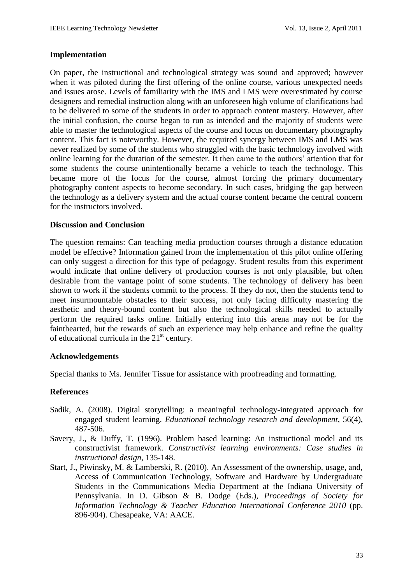### **Implementation**

On paper, the instructional and technological strategy was sound and approved; however when it was piloted during the first offering of the online course, various unexpected needs and issues arose. Levels of familiarity with the IMS and LMS were overestimated by course designers and remedial instruction along with an unforeseen high volume of clarifications had to be delivered to some of the students in order to approach content mastery. However, after the initial confusion, the course began to run as intended and the majority of students were able to master the technological aspects of the course and focus on documentary photography content. This fact is noteworthy. However, the required synergy between IMS and LMS was never realized by some of the students who struggled with the basic technology involved with online learning for the duration of the semester. It then came to the authors" attention that for some students the course unintentionally became a vehicle to teach the technology. This became more of the focus for the course, almost forcing the primary documentary photography content aspects to become secondary. In such cases, bridging the gap between the technology as a delivery system and the actual course content became the central concern for the instructors involved.

#### **Discussion and Conclusion**

The question remains: Can teaching media production courses through a distance education model be effective? Information gained from the implementation of this pilot online offering can only suggest a direction for this type of pedagogy. Student results from this experiment would indicate that online delivery of production courses is not only plausible, but often desirable from the vantage point of some students. The technology of delivery has been shown to work if the students commit to the process. If they do not, then the students tend to meet insurmountable obstacles to their success, not only facing difficulty mastering the aesthetic and theory-bound content but also the technological skills needed to actually perform the required tasks online. Initially entering into this arena may not be for the fainthearted, but the rewards of such an experience may help enhance and refine the quality of educational curricula in the  $21<sup>st</sup>$  century.

#### **Acknowledgements**

Special thanks to Ms. Jennifer Tissue for assistance with proofreading and formatting.

### **References**

- Sadik, A. (2008). Digital storytelling: a meaningful technology-integrated approach for engaged student learning. *Educational technology research and development*, 56(4), 487-506.
- Savery, J., & Duffy, T. (1996). Problem based learning: An instructional model and its constructivist framework. *Constructivist learning environments: Case studies in instructional design*, 135-148.
- Start, J., Piwinsky, M. & Lamberski, R. (2010). An Assessment of the ownership, usage, and, Access of Communication Technology, Software and Hardware by Undergraduate Students in the Communications Media Department at the Indiana University of Pennsylvania. In D. Gibson & B. Dodge (Eds.), *Proceedings of Society for Information Technology & Teacher Education International Conference 2010* (pp. 896-904). Chesapeake, VA: AACE.